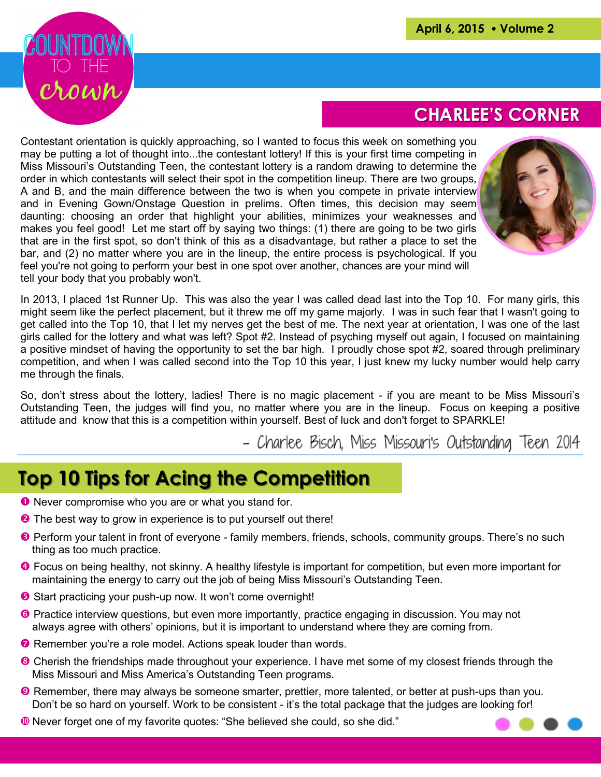

## **CHARLEE'S CORNER**

Contestant orientation is quickly approaching, so I wanted to focus this week on something you may be putting a lot of thought into...the contestant lottery! If this is your first time competing in Miss Missouri's Outstanding Teen, the contestant lottery is a random drawing to determine the order in which contestants will select their spot in the competition lineup. There are two groups, A and B, and the main difference between the two is when you compete in private interview and in Evening Gown/Onstage Question in prelims. Often times, this decision may seem daunting: choosing an order that highlight your abilities, minimizes your weaknesses and makes you feel good! Let me start off by saying two things: (1) there are going to be two girls that are in the first spot, so don't think of this as a disadvantage, but rather a place to set the bar, and (2) no matter where you are in the lineup, the entire process is psychological. If you feel you're not going to perform your best in one spot over another, chances are your mind will tell your body that you probably won't.



In 2013, I placed 1st Runner Up. This was also the year I was called dead last into the Top 10. For many girls, this might seem like the perfect placement, but it threw me off my game majorly. I was in such fear that I wasn't going to get called into the Top 10, that I let my nerves get the best of me. The next year at orientation, I was one of the last girls called for the lottery and what was left? Spot #2. Instead of psyching myself out again, I focused on maintaining a positive mindset of having the opportunity to set the bar high. I proudly chose spot #2, soared through preliminary competition, and when I was called second into the Top 10 this year, I just knew my lucky number would help carry me through the finals.

So, don't stress about the lottery, ladies! There is no magic placement - if you are meant to be Miss Missouri's Outstanding Teen, the judges will find you, no matter where you are in the lineup. Focus on keeping a positive attitude and know that this is a competition within yourself. Best of luck and don't forget to SPARKLE!

- Charlee Bisch, Miss Missouri's Outstanding Teen 2014

## **Top 10 Tips for Acing the Competition**

- **O** Never compromise who you are or what you stand for.
- **O** The best way to grow in experience is to put yourself out there!
- Perform your talent in front of everyone family members, friends, schools, community groups. There's no such thing as too much practice.
- Focus on being healthy, not skinny. A healthy lifestyle is important for competition, but even more important for maintaining the energy to carry out the job of being Miss Missouri's Outstanding Teen.
- **Start practicing your push-up now. It won't come overnight!**
- **O** Practice interview questions, but even more importantly, practice engaging in discussion. You may not always agree with others' opinions, but it is important to understand where they are coming from.
- **Remember you're a role model. Actions speak louder than words.**
- <sup>®</sup> Cherish the friendships made throughout your experience. I have met some of my closest friends through the Miss Missouri and Miss America's Outstanding Teen programs.
- **O** Remember, there may always be someone smarter, prettier, more talented, or better at push-ups than you. Don't be so hard on yourself. Work to be consistent - it's the total package that the judges are looking for!
- Never forget one of my favorite quotes: "She believed she could, so she did."